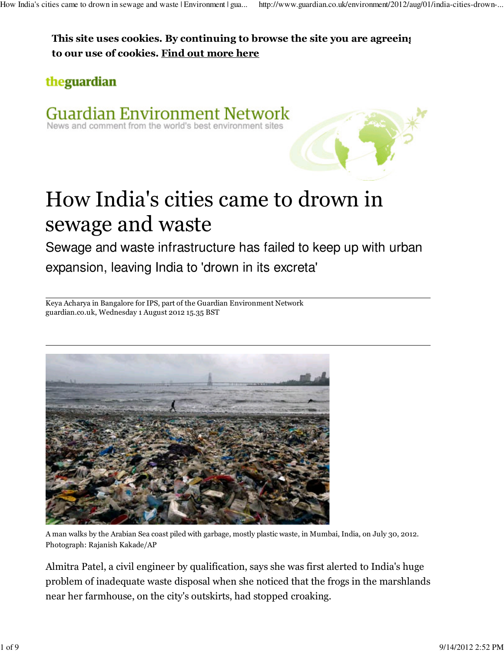This site uses cookies. By continuing to browse the site you are agreeing to our use of cookies. Find out more here

### theguardian

**Guardian Environment Network** News and comment from the world's best environment sites



# How India's cities came to drown in sewage and waste

Sewage and waste infrastructure has failed to keep up with urban expansion, leaving India to 'drown in its excreta'

Keya Acharya in Bangalore for IPS, part of the Guardian Environment Network guardian.co.uk, Wednesday 1 August 2012 15.35 BST



A man walks by the Arabian Sea coast piled with garbage, mostly plastic waste, in Mumbai, India, on July 30, 2012. Photograph: Rajanish Kakade/AP

Almitra Patel, a civil engineer by qualification, says she was first alerted to India's huge problem of inadequate waste disposal when she noticed that the frogs in the marshlands near her farmhouse, on the city's outskirts, had stopped croaking.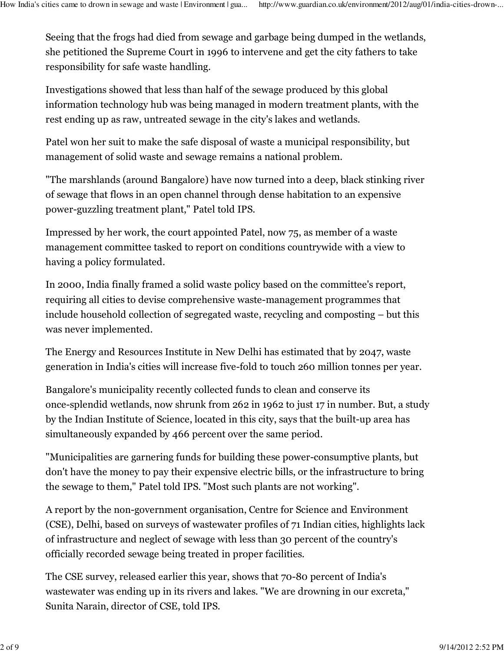Seeing that the frogs had died from sewage and garbage being dumped in the wetlands, she petitioned the Supreme Court in 1996 to intervene and get the city fathers to take responsibility for safe waste handling.

Investigations showed that less than half of the sewage produced by this global information technology hub was being managed in modern treatment plants, with the rest ending up as raw, untreated sewage in the city's lakes and wetlands.

Patel won her suit to make the safe disposal of waste a municipal responsibility, but management of solid waste and sewage remains a national problem.

"The marshlands (around Bangalore) have now turned into a deep, black stinking river of sewage that flows in an open channel through dense habitation to an expensive power-guzzling treatment plant," Patel told IPS.

Impressed by her work, the court appointed Patel, now 75, as member of a waste management committee tasked to report on conditions countrywide with a view to having a policy formulated.

In 2000, India finally framed a solid waste policy based on the committee's report, requiring all cities to devise comprehensive waste-management programmes that include household collection of segregated waste, recycling and composting – but this was never implemented.

The Energy and Resources Institute in New Delhi has estimated that by 2047, waste generation in India's cities will increase five-fold to touch 260 million tonnes per year.

Bangalore's municipality recently collected funds to clean and conserve its once-splendid wetlands, now shrunk from 262 in 1962 to just 17 in number. But, a study by the Indian Institute of Science, located in this city, says that the built-up area has simultaneously expanded by 466 percent over the same period.

"Municipalities are garnering funds for building these power-consumptive plants, but don't have the money to pay their expensive electric bills, or the infrastructure to bring the sewage to them," Patel told IPS. "Most such plants are not working".

A report by the non-government organisation, Centre for Science and Environment (CSE), Delhi, based on surveys of wastewater profiles of 71 Indian cities, highlights lack of infrastructure and neglect of sewage with less than 30 percent of the country's officially recorded sewage being treated in proper facilities.

The CSE survey, released earlier this year, shows that 70-80 percent of India's wastewater was ending up in its rivers and lakes. "We are drowning in our excreta," Sunita Narain, director of CSE, told IPS.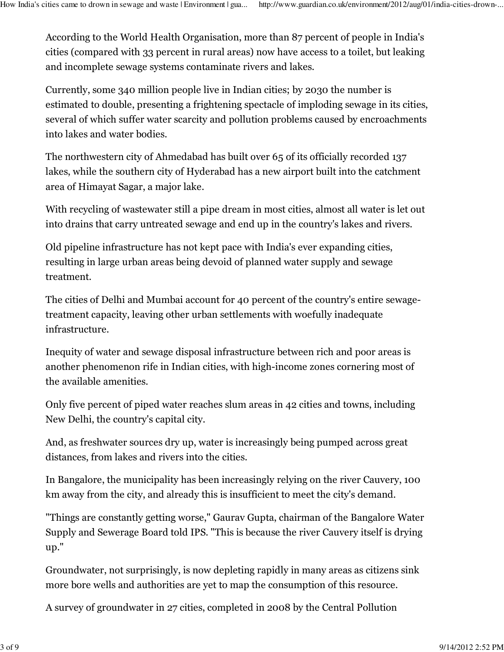According to the World Health Organisation, more than 87 percent of people in India's cities (compared with 33 percent in rural areas) now have access to a toilet, but leaking and incomplete sewage systems contaminate rivers and lakes.

Currently, some 340 million people live in Indian cities; by 2030 the number is estimated to double, presenting a frightening spectacle of imploding sewage in its cities, several of which suffer water scarcity and pollution problems caused by encroachments into lakes and water bodies.

The northwestern city of Ahmedabad has built over 65 of its officially recorded 137 lakes, while the southern city of Hyderabad has a new airport built into the catchment area of Himayat Sagar, a major lake.

With recycling of wastewater still a pipe dream in most cities, almost all water is let out into drains that carry untreated sewage and end up in the country's lakes and rivers.

Old pipeline infrastructure has not kept pace with India's ever expanding cities, resulting in large urban areas being devoid of planned water supply and sewage treatment.

The cities of Delhi and Mumbai account for 40 percent of the country's entire sewagetreatment capacity, leaving other urban settlements with woefully inadequate infrastructure.

Inequity of water and sewage disposal infrastructure between rich and poor areas is another phenomenon rife in Indian cities, with high-income zones cornering most of the available amenities.

Only five percent of piped water reaches slum areas in 42 cities and towns, including New Delhi, the country's capital city.

And, as freshwater sources dry up, water is increasingly being pumped across great distances, from lakes and rivers into the cities.

In Bangalore, the municipality has been increasingly relying on the river Cauvery, 100 km away from the city, and already this is insufficient to meet the city's demand.

"Things are constantly getting worse," Gaurav Gupta, chairman of the Bangalore Water Supply and Sewerage Board told IPS. "This is because the river Cauvery itself is drying up."

Groundwater, not surprisingly, is now depleting rapidly in many areas as citizens sink more bore wells and authorities are yet to map the consumption of this resource.

A survey of groundwater in 27 cities, completed in 2008 by the Central Pollution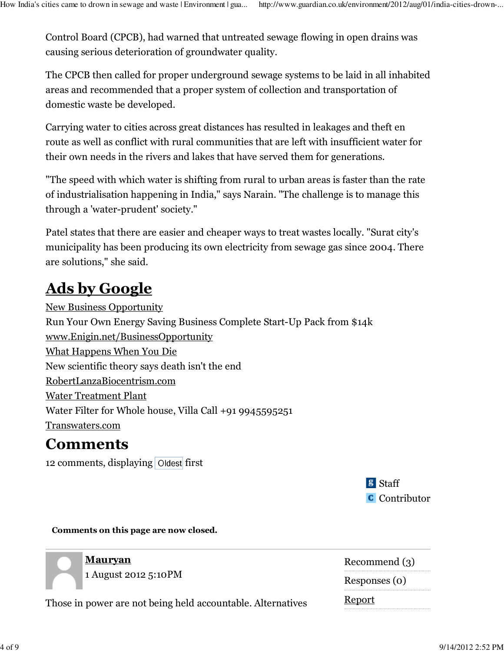Control Board (CPCB), had warned that untreated sewage flowing in open drains was causing serious deterioration of groundwater quality.

The CPCB then called for proper underground sewage systems to be laid in all inhabited areas and recommended that a proper system of collection and transportation of domestic waste be developed.

Carrying water to cities across great distances has resulted in leakages and theft en route as well as conflict with rural communities that are left with insufficient water for their own needs in the rivers and lakes that have served them for generations.

"The speed with which water is shifting from rural to urban areas is faster than the rate of industrialisation happening in India," says Narain. "The challenge is to manage this through a 'water-prudent' society."

Patel states that there are easier and cheaper ways to treat wastes locally. "Surat city's municipality has been producing its own electricity from sewage gas since 2004. There are solutions," she said.

# Ads by Google

New Business Opportunity Run Your Own Energy Saving Business Complete Start-Up Pack from \$14k www.Enigin.net/BusinessOpportunity What Happens When You Die New scientific theory says death isn't the end RobertLanzaBiocentrism.com Water Treatment Plant Water Filter for Whole house, Villa Call +91 9945595251 Transwaters.com

## **Comments**

12 comments, displaying  $\vert$  Oldest first

**B** Staff **C** Contributor

Comments on this page are now closed.

**Mauryan** 1 August 2012 5:10PM

Those in power are not being held accountable. Alternatives

Recommend (3)

Responses (0)

Report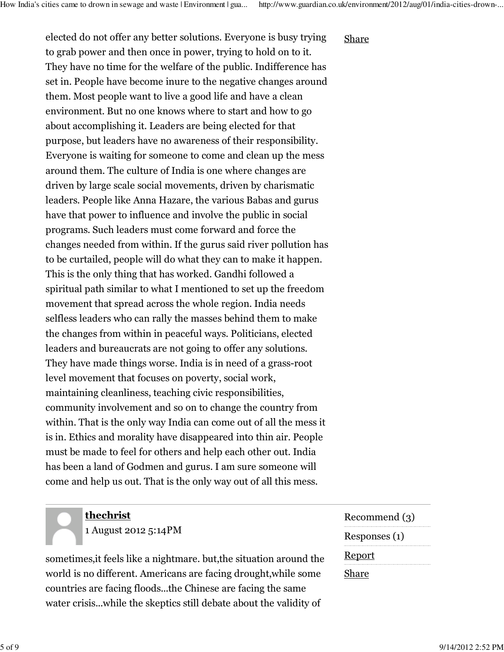Share

elected do not offer any better solutions. Everyone is busy trying to grab power and then once in power, trying to hold on to it. They have no time for the welfare of the public. Indifference has set in. People have become inure to the negative changes around them. Most people want to live a good life and have a clean environment. But no one knows where to start and how to go about accomplishing it. Leaders are being elected for that purpose, but leaders have no awareness of their responsibility. Everyone is waiting for someone to come and clean up the mess around them. The culture of India is one where changes are driven by large scale social movements, driven by charismatic leaders. People like Anna Hazare, the various Babas and gurus have that power to influence and involve the public in social programs. Such leaders must come forward and force the changes needed from within. If the gurus said river pollution has to be curtailed, people will do what they can to make it happen. This is the only thing that has worked. Gandhi followed a spiritual path similar to what I mentioned to set up the freedom movement that spread across the whole region. India needs selfless leaders who can rally the masses behind them to make the changes from within in peaceful ways. Politicians, elected leaders and bureaucrats are not going to offer any solutions. They have made things worse. India is in need of a grass-root level movement that focuses on poverty, social work, maintaining cleanliness, teaching civic responsibilities, community involvement and so on to change the country from within. That is the only way India can come out of all the mess it is in. Ethics and morality have disappeared into thin air. People must be made to feel for others and help each other out. India has been a land of Godmen and gurus. I am sure someone will come and help us out. That is the only way out of all this mess.

#### thechrist

1 August 2012 5:14PM

sometimes,it feels like a nightmare. but,the situation around the world is no different. Americans are facing drought,while some countries are facing floods...the Chinese are facing the same water crisis...while the skeptics still debate about the validity of

Share Recommend (3) Responses (1) Report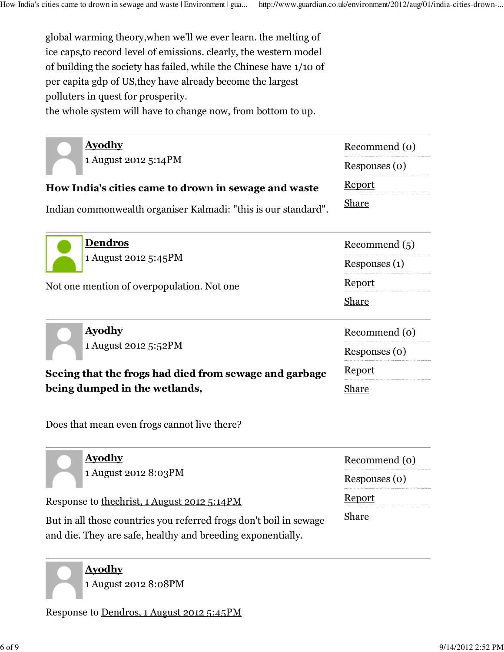global warming theory,when we'll we ever learn. the melting of ice caps,to record level of emissions. clearly, the western model of building the society has failed, while the Chinese have 1/10 of per capita gdp of US,they have already become the largest polluters in quest for prosperity.

the whole system will have to change now, from bottom to up.

| <b>Ayodhy</b><br>1 August 2012 5:14PM                                                                                             | Recommend (0)   |
|-----------------------------------------------------------------------------------------------------------------------------------|-----------------|
|                                                                                                                                   | Responses (o)   |
| How India's cities came to drown in sewage and waste                                                                              | Report          |
| Indian commonwealth organiser Kalmadi: "this is our standard".                                                                    | Share           |
| <b>Dendros</b>                                                                                                                    | Recommend $(5)$ |
| 1 August 2012 5:45PM                                                                                                              | Responses (1)   |
| Not one mention of overpopulation. Not one                                                                                        | Report          |
|                                                                                                                                   | Share           |
| <b>Ayodhy</b><br>1 August 2012 5:52PM                                                                                             | Recommend (o)   |
|                                                                                                                                   | Responses (o)   |
| Seeing that the frogs had died from sewage and garbage                                                                            | Report          |
| being dumped in the wetlands,                                                                                                     | <b>Share</b>    |
| Does that mean even frogs cannot live there?                                                                                      |                 |
| <b>Ayodhy</b><br>1 August 2012 8:03PM                                                                                             | Recommend (0)   |
|                                                                                                                                   | Responses (o)   |
| Response to the christ, 1 August 2012 5:14PM                                                                                      | Report          |
| But in all those countries you referred frogs don't boil in sewage<br>and die. They are safe, healthy and breeding exponentially. | Share           |

Ayodhy 1 August 2012 8:08PM

Response to Dendros, 1 August 2012 5:45PM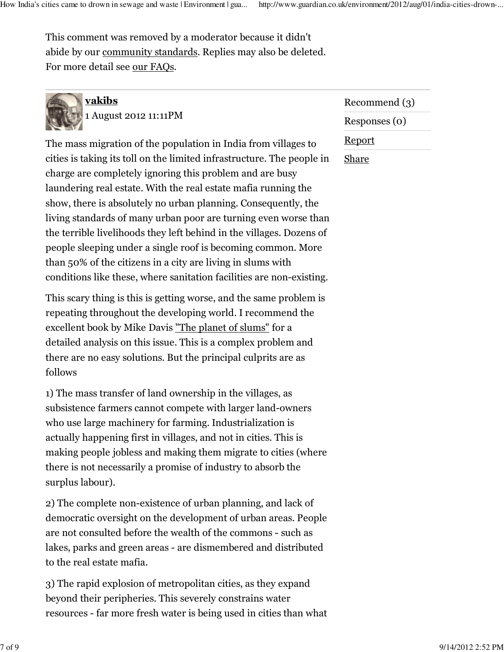This comment was removed by a moderator because it didn't abide by our community standards. Replies may also be deleted. For more detail see our FAQs.



vakibs 1 August 2012 11:11PM

The mass migration of the population in India from villages to cities is taking its toll on the limited infrastructure. The people in charge are completely ignoring this problem and are busy laundering real estate. With the real estate mafia running the show, there is absolutely no urban planning. Consequently, the living standards of many urban poor are turning even worse than the terrible livelihoods they left behind in the villages. Dozens of people sleeping under a single roof is becoming common. More than 50% of the citizens in a city are living in slums with conditions like these, where sanitation facilities are non-existing.

This scary thing is this is getting worse, and the same problem is repeating throughout the developing world. I recommend the excellent book by Mike Davis "The planet of slums" for a detailed analysis on this issue. This is a complex problem and there are no easy solutions. But the principal culprits are as follows

1) The mass transfer of land ownership in the villages, as subsistence farmers cannot compete with larger land-owners who use large machinery for farming. Industrialization is actually happening first in villages, and not in cities. This is making people jobless and making them migrate to cities (where there is not necessarily a promise of industry to absorb the surplus labour).

2) The complete non-existence of urban planning, and lack of democratic oversight on the development of urban areas. People are not consulted before the wealth of the commons - such as lakes, parks and green areas - are dismembered and distributed to the real estate mafia.

3) The rapid explosion of metropolitan cities, as they expand beyond their peripheries. This severely constrains water resources - far more fresh water is being used in cities than what Share Recommend (3) Responses (0) Report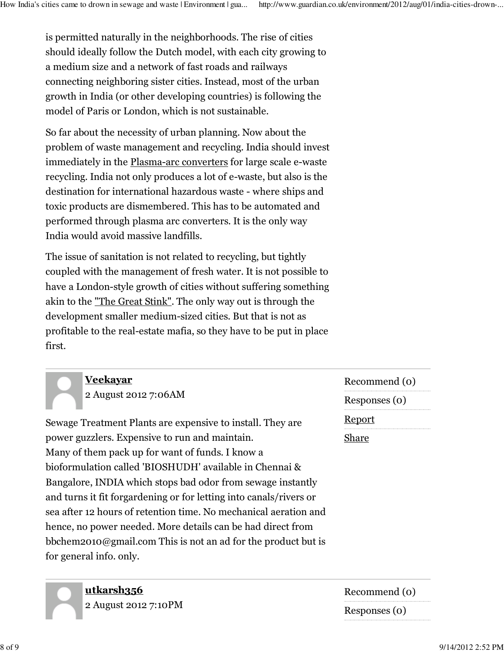is permitted naturally in the neighborhoods. The rise of cities should ideally follow the Dutch model, with each city growing to a medium size and a network of fast roads and railways connecting neighboring sister cities. Instead, most of the urban growth in India (or other developing countries) is following the model of Paris or London, which is not sustainable.

So far about the necessity of urban planning. Now about the problem of waste management and recycling. India should invest immediately in the Plasma-arc converters for large scale e-waste recycling. India not only produces a lot of e-waste, but also is the destination for international hazardous waste - where ships and toxic products are dismembered. This has to be automated and performed through plasma arc converters. It is the only way India would avoid massive landfills.

The issue of sanitation is not related to recycling, but tightly coupled with the management of fresh water. It is not possible to have a London-style growth of cities without suffering something akin to the "The Great Stink". The only way out is through the development smaller medium-sized cities. But that is not as profitable to the real-estate mafia, so they have to be put in place first.

> Veekayar 2 August 2012 7:06AM

Sewage Treatment Plants are expensive to install. They are power guzzlers. Expensive to run and maintain. Many of them pack up for want of funds. I know a bioformulation called 'BIOSHUDH' available in Chennai & Bangalore, INDIA which stops bad odor from sewage instantly and turns it fit forgardening or for letting into canals/rivers or sea after 12 hours of retention time. No mechanical aeration and hence, no power needed. More details can be had direct from bbchem2010@gmail.com This is not an ad for the product but is for general info. only.

> utkarsh356 2 August 2012 7:10PM

Recommend (0) Responses (0)

Report

Share

Recommend (0)

Responses (0)